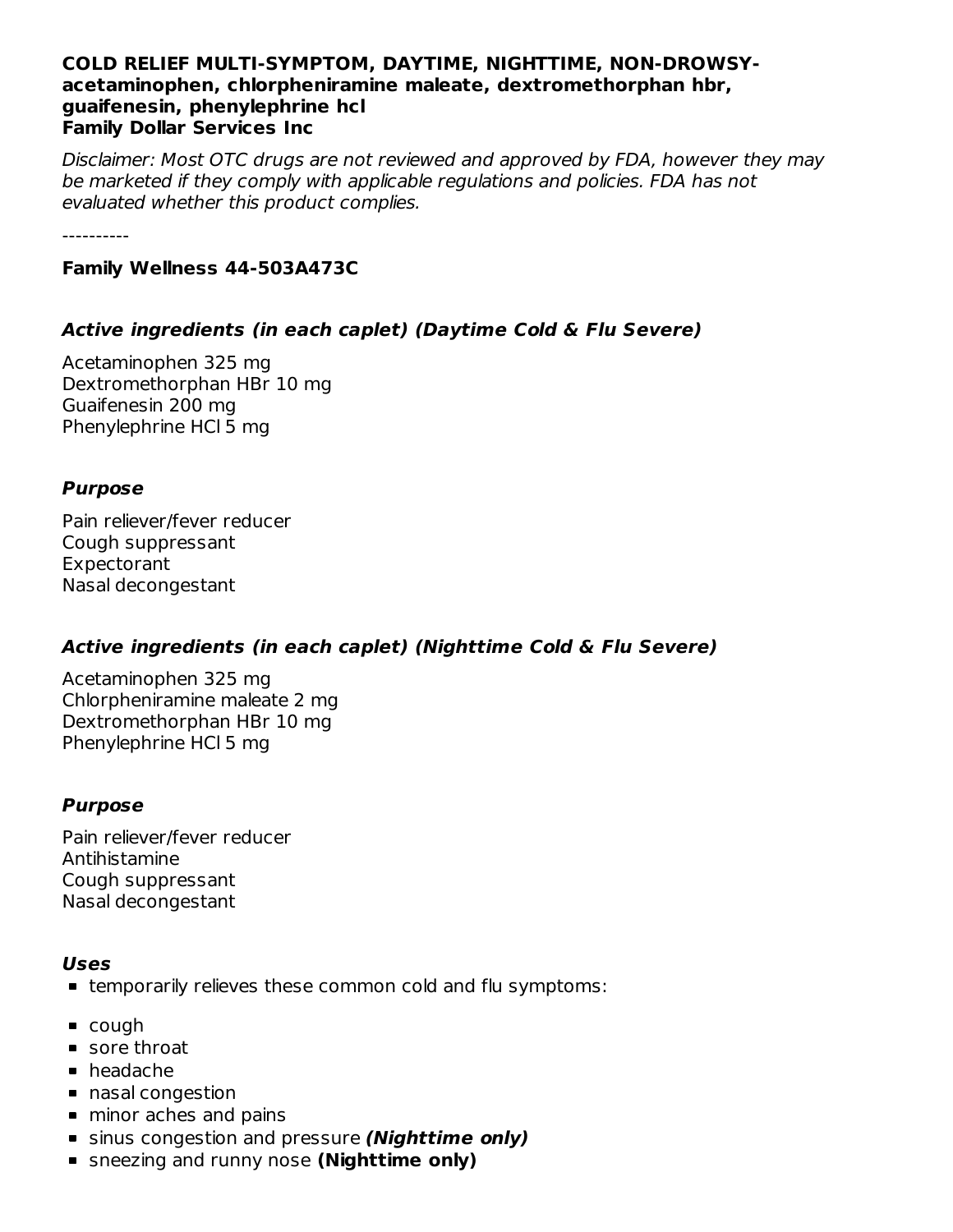#### **COLD RELIEF MULTI-SYMPTOM, DAYTIME, NIGHTTIME, NON-DROWSYacetaminophen, chlorpheniramine maleate, dextromethorphan hbr, guaifenesin, phenylephrine hcl Family Dollar Services Inc**

Disclaimer: Most OTC drugs are not reviewed and approved by FDA, however they may be marketed if they comply with applicable regulations and policies. FDA has not evaluated whether this product complies.

----------

#### **Family Wellness 44-503A473C**

## **Active ingredients (in each caplet) (Daytime Cold & Flu Severe)**

Acetaminophen 325 mg Dextromethorphan HBr 10 mg Guaifenesin 200 mg Phenylephrine HCl 5 mg

## **Purpose**

Pain reliever/fever reducer Cough suppressant Expectorant Nasal decongestant

## **Active ingredients (in each caplet) (Nighttime Cold & Flu Severe)**

Acetaminophen 325 mg Chlorpheniramine maleate 2 mg Dextromethorphan HBr 10 mg Phenylephrine HCl 5 mg

## **Purpose**

Pain reliever/fever reducer Antihistamine Cough suppressant Nasal decongestant

#### **Uses**

- temporarily relieves these common cold and flu symptoms:
- cough
- sore throat
- headache
- nasal congestion
- minor aches and pains
- sinus congestion and pressure **(Nighttime only)**
- sneezing and runny nose **(Nighttime only)**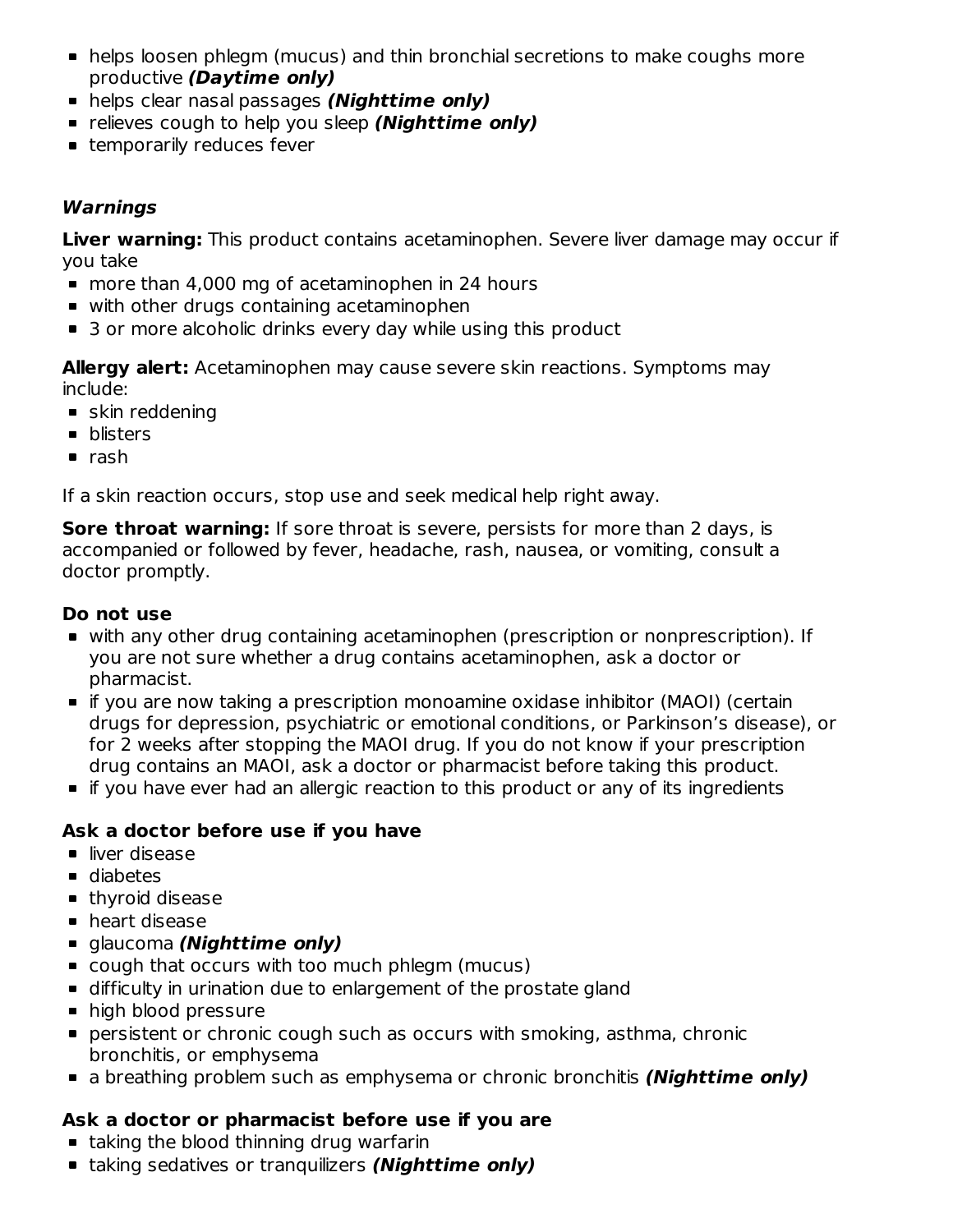- helps loosen phlegm (mucus) and thin bronchial secretions to make coughs more productive **(Daytime only)**
- helps clear nasal passages **(Nighttime only)**
- relieves cough to help you sleep **(Nighttime only)**
- **Exercicle Features** fever

## **Warnings**

**Liver warning:** This product contains acetaminophen. Severe liver damage may occur if you take

- more than 4,000 mg of acetaminophen in 24 hours
- with other drugs containing acetaminophen
- 3 or more alcoholic drinks every day while using this product

**Allergy alert:** Acetaminophen may cause severe skin reactions. Symptoms may include:

- skin reddening
- **•** blisters
- $\blacksquare$  rash

If a skin reaction occurs, stop use and seek medical help right away.

**Sore throat warning:** If sore throat is severe, persists for more than 2 days, is accompanied or followed by fever, headache, rash, nausea, or vomiting, consult a doctor promptly.

## **Do not use**

- with any other drug containing acetaminophen (prescription or nonprescription). If you are not sure whether a drug contains acetaminophen, ask a doctor or pharmacist.
- if you are now taking a prescription monoamine oxidase inhibitor (MAOI) (certain drugs for depression, psychiatric or emotional conditions, or Parkinson's disease), or for 2 weeks after stopping the MAOI drug. If you do not know if your prescription drug contains an MAOI, ask a doctor or pharmacist before taking this product.
- **If you have ever had an allergic reaction to this product or any of its ingredients**

## **Ask a doctor before use if you have**

- liver disease
- diabetes
- **thyroid disease**
- heart disease
- glaucoma **(Nighttime only)**
- cough that occurs with too much phlegm (mucus)
- difficulty in urination due to enlargement of the prostate gland
- high blood pressure
- persistent or chronic cough such as occurs with smoking, asthma, chronic bronchitis, or emphysema
- a breathing problem such as emphysema or chronic bronchitis **(Nighttime only)**

## **Ask a doctor or pharmacist before use if you are**

- **E** taking the blood thinning drug warfarin
- taking sedatives or tranquilizers **(Nighttime only)**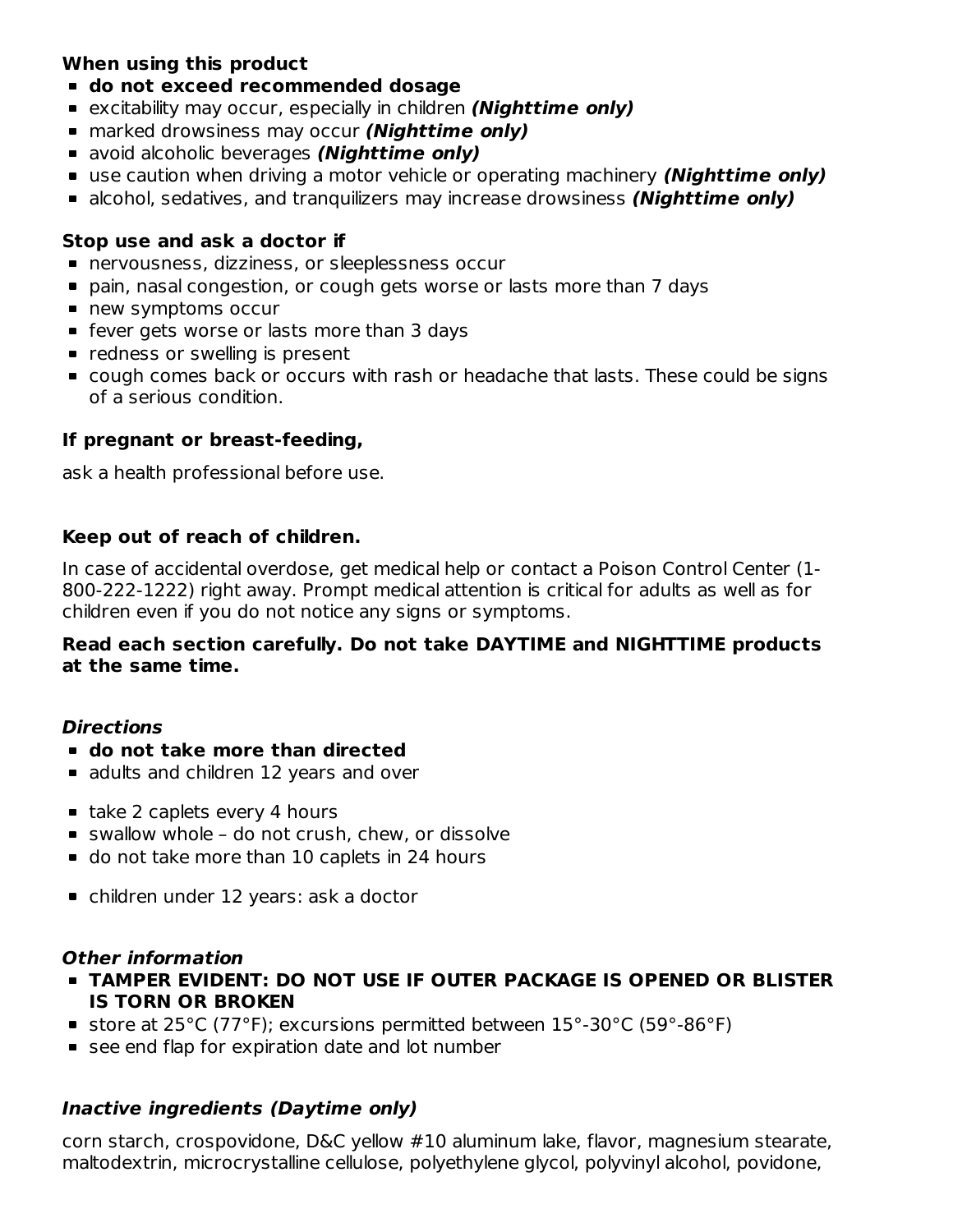## **When using this product**

- **do not exceed recommended dosage**
- excitability may occur, especially in children **(Nighttime only)**
- marked drowsiness may occur **(Nighttime only)**
- avoid alcoholic beverages **(Nighttime only)**
- use caution when driving a motor vehicle or operating machinery **(Nighttime only)**
- alcohol, sedatives, and tranquilizers may increase drowsiness **(Nighttime only)**

## **Stop use and ask a doctor if**

- nervousness, dizziness, or sleeplessness occur
- pain, nasal congestion, or cough gets worse or lasts more than 7 days
- new symptoms occur
- **F** fever gets worse or lasts more than 3 days
- **•** redness or swelling is present
- cough comes back or occurs with rash or headache that lasts. These could be signs of a serious condition.

## **If pregnant or breast-feeding,**

ask a health professional before use.

## **Keep out of reach of children.**

In case of accidental overdose, get medical help or contact a Poison Control Center (1- 800-222-1222) right away. Prompt medical attention is critical for adults as well as for children even if you do not notice any signs or symptoms.

#### **Read each section carefully. Do not take DAYTIME and NIGHTTIME products at the same time.**

## **Directions**

- **do not take more than directed**
- **a** adults and children 12 years and over
- take 2 caplets every 4 hours
- swallow whole do not crush, chew, or dissolve
- do not take more than 10 caplets in 24 hours
- children under 12 years: ask a doctor

## **Other information**

- **TAMPER EVIDENT: DO NOT USE IF OUTER PACKAGE IS OPENED OR BLISTER IS TORN OR BROKEN**
- store at 25°C (77°F); excursions permitted between 15°-30°C (59°-86°F)
- see end flap for expiration date and lot number

## **Inactive ingredients (Daytime only)**

corn starch, crospovidone, D&C yellow #10 aluminum lake, flavor, magnesium stearate, maltodextrin, microcrystalline cellulose, polyethylene glycol, polyvinyl alcohol, povidone,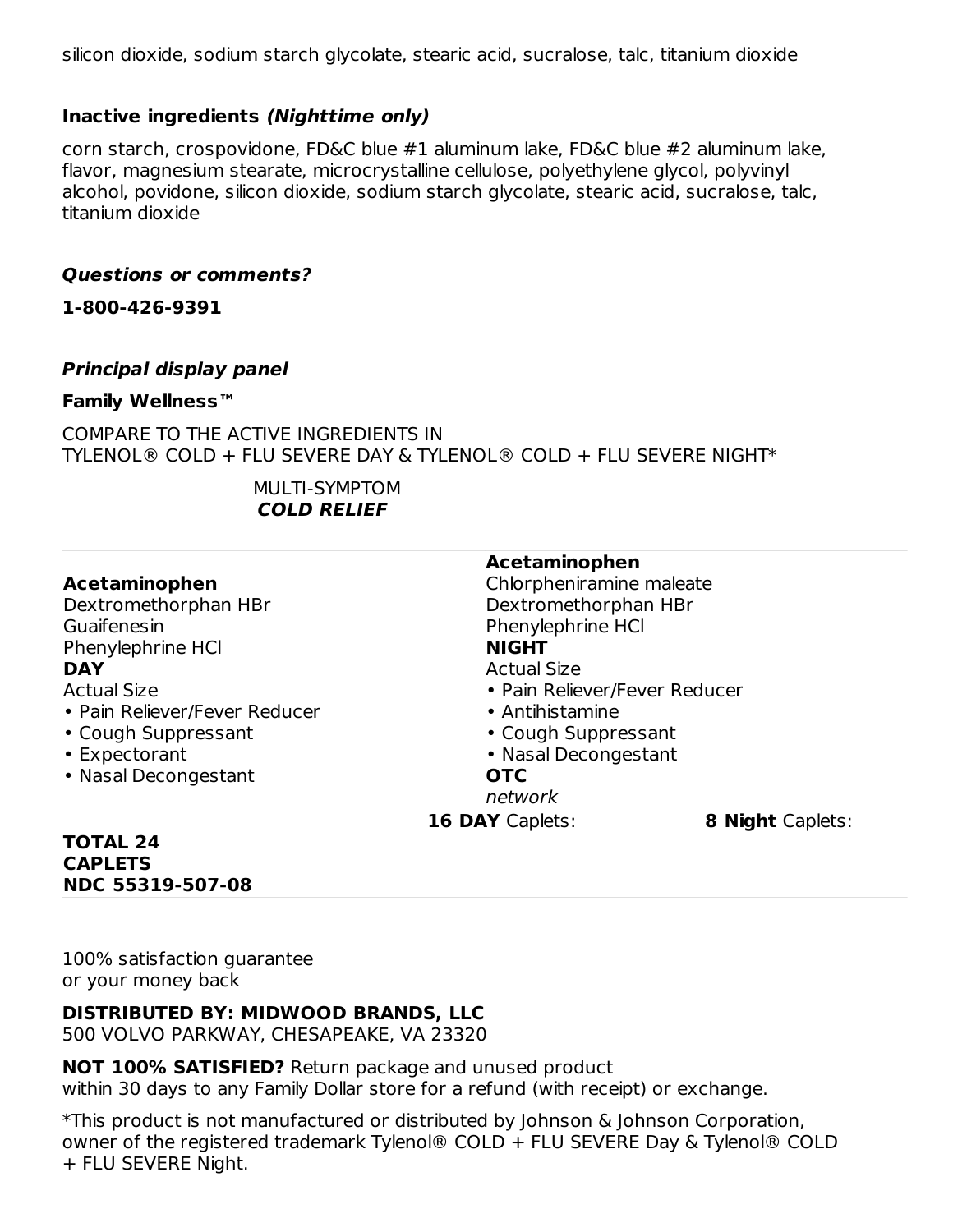silicon dioxide, sodium starch glycolate, stearic acid, sucralose, talc, titanium dioxide

## **Inactive ingredients (Nighttime only)**

corn starch, crospovidone, FD&C blue #1 aluminum lake, FD&C blue #2 aluminum lake, flavor, magnesium stearate, microcrystalline cellulose, polyethylene glycol, polyvinyl alcohol, povidone, silicon dioxide, sodium starch glycolate, stearic acid, sucralose, talc, titanium dioxide

#### **Questions or comments?**

**1-800-426-9391**

#### **Principal display panel**

#### **Family Wellness™**

COMPARE TO THE ACTIVE INGREDIENTS IN TYLENOL® COLD + FLU SEVERE DAY & TYLENOL® COLD + FLU SEVERE NIGHT\*

> MULTI-SYMPTOM **COLD RELIEF**

|                               | Acetaminophen                 |                         |
|-------------------------------|-------------------------------|-------------------------|
| Acetaminophen                 | Chlorpheniramine maleate      |                         |
| Dextromethorphan HBr          | Dextromethorphan HBr          |                         |
| Guaifenesin                   | Phenylephrine HCl             |                         |
| Phenylephrine HCl             | <b>NIGHT</b>                  |                         |
| <b>DAY</b>                    | <b>Actual Size</b>            |                         |
| <b>Actual Size</b>            | • Pain Reliever/Fever Reducer |                         |
| • Pain Reliever/Fever Reducer | • Antihistamine               |                         |
| • Cough Suppressant           | • Cough Suppressant           |                         |
| • Expectorant                 | • Nasal Decongestant          |                         |
| • Nasal Decongestant          | <b>OTC</b>                    |                         |
|                               | network                       |                         |
|                               | <b>16 DAY Caplets:</b>        | <b>8 Night Caplets:</b> |

#### **TOTAL 24 CAPLETS NDC 55319-507-08**

100% satisfaction guarantee or your money back

## **DISTRIBUTED BY: MIDWOOD BRANDS, LLC**

500 VOLVO PARKWAY, CHESAPEAKE, VA 23320

**NOT 100% SATISFIED?** Return package and unused product within 30 days to any Family Dollar store for a refund (with receipt) or exchange.

\*This product is not manufactured or distributed by Johnson & Johnson Corporation, owner of the registered trademark Tylenol® COLD + FLU SEVERE Day & Tylenol® COLD + FLU SEVERE Night.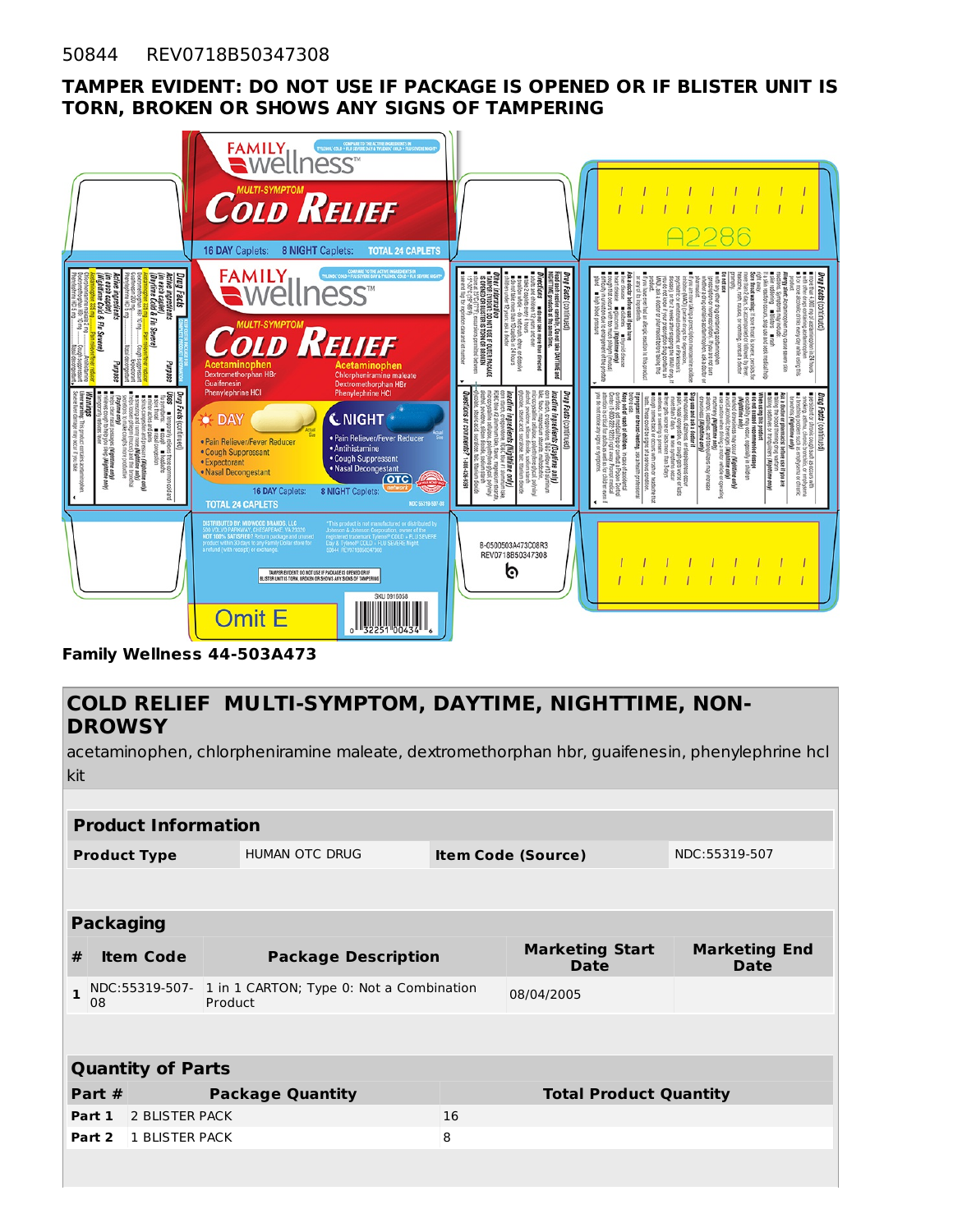#### **TAMPER EVIDENT: DO NOT USE IF PACKAGE IS OPENED OR IF BLISTER UNIT IS TORN, BROKEN OR SHOWS ANY SIGNS OF TAMPERING**



**Family Wellness 44-503A473**

## **COLD RELIEF MULTI-SYMPTOM, DAYTIME, NIGHTTIME, NON-DROWSY**

acetaminophen, chlorpheniramine maleate, dextromethorphan hbr, guaifenesin, phenylephrine hcl kit

|                                              |                                     | <b>Product Information</b> |                                                     |               |                               |                                       |                              |
|----------------------------------------------|-------------------------------------|----------------------------|-----------------------------------------------------|---------------|-------------------------------|---------------------------------------|------------------------------|
| <b>HUMAN OTC DRUG</b><br><b>Product Type</b> |                                     |                            | <b>Item Code (Source)</b>                           | NDC:55319-507 |                               |                                       |                              |
|                                              |                                     |                            |                                                     |               |                               |                                       |                              |
|                                              | <b>Packaging</b>                    |                            |                                                     |               |                               |                                       |                              |
| #                                            |                                     | <b>Item Code</b>           | <b>Package Description</b>                          |               |                               | <b>Marketing Start</b><br><b>Date</b> | <b>Marketing End</b><br>Date |
| 1                                            | 08                                  | NDC:55319-507-             | 1 in 1 CARTON; Type 0: Not a Combination<br>Product |               |                               | 08/04/2005                            |                              |
|                                              |                                     |                            |                                                     |               |                               |                                       |                              |
|                                              |                                     | <b>Quantity of Parts</b>   |                                                     |               |                               |                                       |                              |
|                                              | Part $#$<br><b>Package Quantity</b> |                            |                                                     |               | <b>Total Product Quantity</b> |                                       |                              |
|                                              | Part 1                              | 2 BLISTER PACK             |                                                     |               | 16                            |                                       |                              |
|                                              | Part 2                              | 1 BLISTER PACK             |                                                     |               | 8                             |                                       |                              |
|                                              |                                     |                            |                                                     |               |                               |                                       |                              |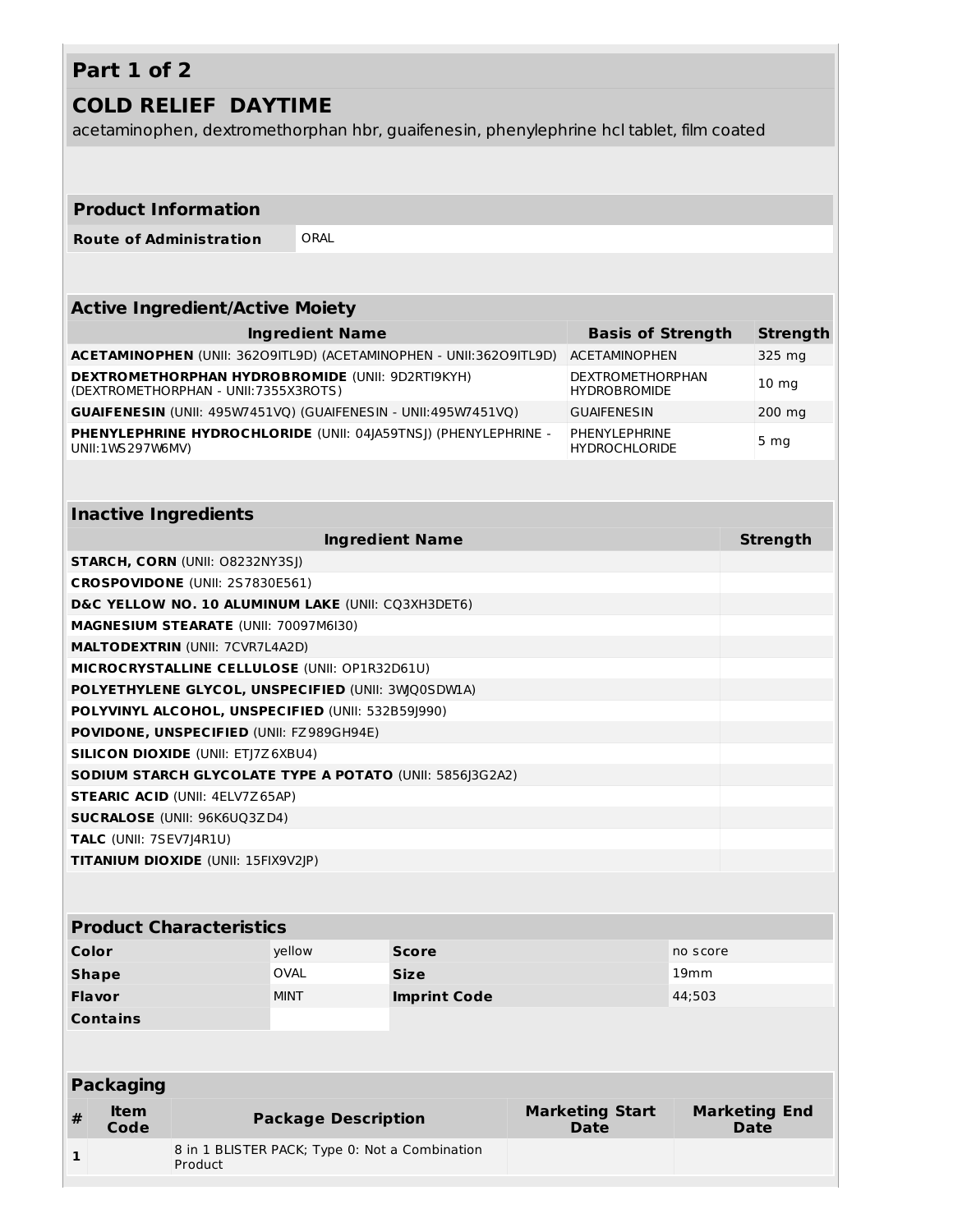# **Part 1 of 2**

## **COLD RELIEF DAYTIME**

acetaminophen, dextromethorphan hbr, guaifenesin, phenylephrine hcl tablet, film coated

#### **Product Information**

**Route of Administration** ORAL

#### **Active Ingredient/Active Moiety**

| <b>Ingredient Name</b>                                                                          | <b>Basis of Strength</b>                       | <b>Strength</b> |
|-------------------------------------------------------------------------------------------------|------------------------------------------------|-----------------|
| <b>ACETAMINOPHEN (UNII: 36209ITL9D) (ACETAMINOPHEN - UNII: 36209ITL9D)</b>                      | <b>ACETAMINOPHEN</b>                           | 325 mg          |
| <b>DEXTROMETHORPHAN HYDROBROMIDE (UNII: 9D2RTI9KYH)</b><br>(DEXTROMETHORPHAN - UNII:7355X3ROTS) | <b>DEXTROMETHORPHAN</b><br><b>HYDROBROMIDE</b> | $10 \text{ mg}$ |
| <b>GUAIFENESIN</b> (UNII: 495W7451VQ) (GUAIFENESIN - UNII:495W7451VQ)                           | <b>GUAIFENESIN</b>                             | 200 mg          |
| PHENYLEPHRINE HYDROCHLORIDE (UNII: 04 A59TNS ) (PHENYLEPHRINE -<br>UNII:1WS297W6MV)             | PHENYLEPHRINE<br><b>HYDROCHLORIDE</b>          | 5 <sub>mg</sub> |

## **Inactive Ingredients**

| <b>Ingredient Name</b>                                          | Strength |
|-----------------------------------------------------------------|----------|
| <b>STARCH, CORN (UNII: O8232NY3SJ)</b>                          |          |
| <b>CROSPOVIDONE</b> (UNII: 2S7830E561)                          |          |
| D&C YELLOW NO. 10 ALUMINUM LAKE (UNII: CO3XH3DET6)              |          |
| MAGNESIUM STEARATE (UNII: 70097M6I30)                           |          |
| <b>MALTODEXTRIN (UNII: 7CVR7L4A2D)</b>                          |          |
| MICROCRYSTALLINE CELLULOSE (UNII: OP1R32D61U)                   |          |
| POLYETHYLENE GLYCOL, UNSPECIFIED (UNII: 3WQ0SDW1A)              |          |
| POLYVINYL ALCOHOL, UNSPECIFIED (UNII: 532B591990)               |          |
| <b>POVIDONE, UNSPECIFIED (UNII: FZ989GH94E)</b>                 |          |
| <b>SILICON DIOXIDE (UNII: ETJ7Z6XBU4)</b>                       |          |
| <b>SODIUM STARCH GLYCOLATE TYPE A POTATO (UNII: 5856 3G2A2)</b> |          |
| <b>STEARIC ACID (UNII: 4ELV7Z65AP)</b>                          |          |
| <b>SUCRALOSE (UNII: 96K6UQ3ZD4)</b>                             |          |
| <b>TALC</b> (UNII: 7SEV7J4R1U)                                  |          |
| <b>TITANIUM DIOXIDE (UNII: 15FIX9V2JP)</b>                      |          |

#### **Product Characteristics**

| Color           | yellow      | <b>Score</b>        | no score         |
|-----------------|-------------|---------------------|------------------|
| <b>Shape</b>    | <b>OVAL</b> | <b>Size</b>         | 19 <sub>mm</sub> |
| <b>Flavor</b>   | <b>MINT</b> | <b>Imprint Code</b> | 44;503           |
| <b>Contains</b> |             |                     |                  |

|   | <b>Packaging</b> |                                                           |                                       |                                     |
|---|------------------|-----------------------------------------------------------|---------------------------------------|-------------------------------------|
| # | ltem<br>Code     | <b>Package Description</b>                                | <b>Marketing Start</b><br><b>Date</b> | <b>Marketing End</b><br><b>Date</b> |
|   |                  | 8 in 1 BLISTER PACK; Type 0: Not a Combination<br>Product |                                       |                                     |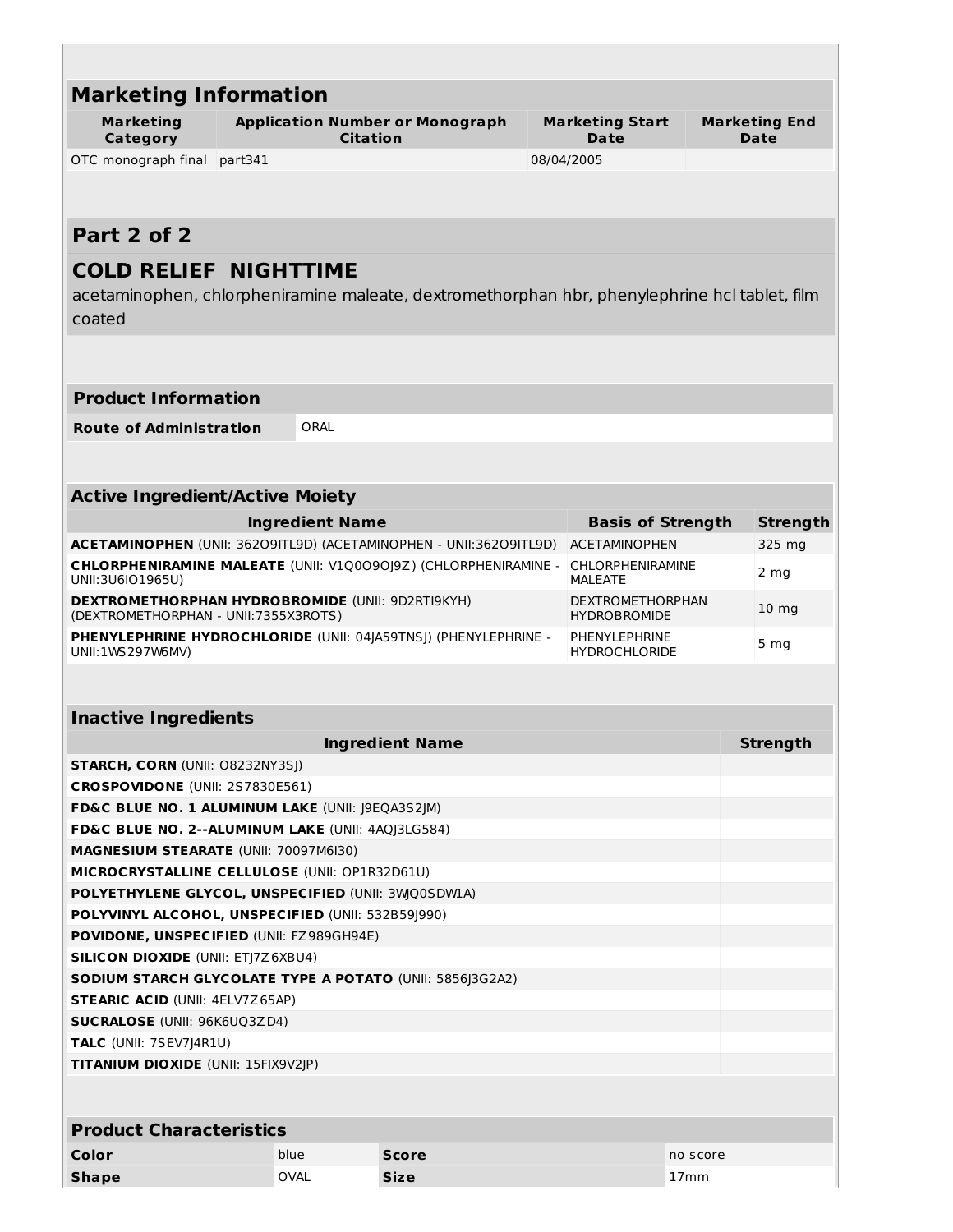| <b>Marketing</b>                                                                                                                      | <b>Application Number or Monograph</b><br><b>Citation</b><br>Category |                                            |              | <b>Marketing Start</b><br>Date                                                                |          | <b>Marketing End</b><br><b>Date</b> |
|---------------------------------------------------------------------------------------------------------------------------------------|-----------------------------------------------------------------------|--------------------------------------------|--------------|-----------------------------------------------------------------------------------------------|----------|-------------------------------------|
| OTC monograph final                                                                                                                   | part341                                                               |                                            |              | 08/04/2005                                                                                    |          |                                     |
|                                                                                                                                       |                                                                       |                                            |              |                                                                                               |          |                                     |
| Part 2 of 2                                                                                                                           |                                                                       |                                            |              |                                                                                               |          |                                     |
|                                                                                                                                       |                                                                       |                                            |              |                                                                                               |          |                                     |
| <b>COLD RELIEF NIGHTTIME</b><br>coated                                                                                                |                                                                       |                                            |              | acetaminophen, chlorpheniramine maleate, dextromethorphan hbr, phenylephrine hcl tablet, film |          |                                     |
| <b>Product Information</b>                                                                                                            |                                                                       |                                            |              |                                                                                               |          |                                     |
| <b>Route of Administration</b>                                                                                                        |                                                                       | ORAL                                       |              |                                                                                               |          |                                     |
|                                                                                                                                       |                                                                       |                                            |              |                                                                                               |          |                                     |
|                                                                                                                                       |                                                                       |                                            |              |                                                                                               |          |                                     |
| <b>Active Ingredient/Active Moiety</b>                                                                                                |                                                                       |                                            |              |                                                                                               |          |                                     |
|                                                                                                                                       |                                                                       | <b>Ingredient Name</b>                     |              | <b>Basis of Strength</b>                                                                      |          | <b>Strength</b>                     |
| ACETAMINOPHEN (UNII: 36209ITL9D) (ACETAMINOPHEN - UNII:36209ITL9D)                                                                    |                                                                       |                                            |              | <b>ACETAMINOPHEN</b>                                                                          |          | 325 mg                              |
| CHLORPHENIRAMINE MALEATE (UNII: V1Q0090J9Z) (CHLORPHENIRAMINE -<br>UNII:3U6IO1965U)                                                   | <b>CHLORPHENIRAMINE</b><br><b>MALEATE</b>                             |                                            | 2 mg         |                                                                                               |          |                                     |
| <b>DEXTROMETHORPHAN HYDROBROMIDE (UNII: 9D2RTI9KYH)</b><br>(DEXTROMETHORPHAN - UNII: 7355X3ROTS)                                      | <b>HYDROBROMIDE</b>                                                   | <b>DEXTROMETHORPHAN</b><br>$10 \text{ mg}$ |              |                                                                                               |          |                                     |
| <b>PHENYLEPHRINE HYDROCHLORIDE (UNII: 04 A59TNS ) (PHENYLEPHRINE -</b><br>PHENYLEPHRINE<br>UNII: 1WS 297W6MV)<br><b>HYDROCHLORIDE</b> |                                                                       |                                            |              |                                                                                               |          | 5 <sub>mg</sub>                     |
|                                                                                                                                       |                                                                       |                                            |              |                                                                                               |          |                                     |
| <b>Inactive Ingredients</b>                                                                                                           |                                                                       |                                            |              |                                                                                               |          |                                     |
|                                                                                                                                       |                                                                       | <b>Ingredient Name</b>                     |              |                                                                                               |          | <b>Strength</b>                     |
| <b>STARCH, CORN (UNII: O8232NY3SJ)</b>                                                                                                |                                                                       |                                            |              |                                                                                               |          |                                     |
| CROSPOVIDONE (UNII: 2S7830E561)                                                                                                       |                                                                       |                                            |              |                                                                                               |          |                                     |
| FD&C BLUE NO. 1 ALUMINUM LAKE (UNII: J9EQA3S2JM)                                                                                      |                                                                       |                                            |              |                                                                                               |          |                                     |
| FD&C BLUE NO. 2--ALUMINUM LAKE (UNII: 4AQJ3LG584)                                                                                     |                                                                       |                                            |              |                                                                                               |          |                                     |
| MAGNESIUM STEARATE (UNII: 70097M6I30)                                                                                                 |                                                                       |                                            |              |                                                                                               |          |                                     |
| MICROCRYSTALLINE CELLULOSE (UNII: OP1R32D61U)                                                                                         |                                                                       |                                            |              |                                                                                               |          |                                     |
| POLYETHYLENE GLYCOL, UNSPECIFIED (UNII: 3WQ0SDWLA)                                                                                    |                                                                       |                                            |              |                                                                                               |          |                                     |
| POLYVINYL ALCOHOL, UNSPECIFIED (UNII: 532B591990)                                                                                     |                                                                       |                                            |              |                                                                                               |          |                                     |
| <b>POVIDONE, UNSPECIFIED (UNII: FZ989GH94E)</b><br><b>SILICON DIOXIDE (UNII: ETJ7Z6XBU4)</b>                                          |                                                                       |                                            |              |                                                                                               |          |                                     |
| SODIUM STARCH GLYCOLATE TYPE A POTATO (UNII: 5856J3G2A2)                                                                              |                                                                       |                                            |              |                                                                                               |          |                                     |
|                                                                                                                                       |                                                                       |                                            |              |                                                                                               |          |                                     |
|                                                                                                                                       |                                                                       |                                            |              |                                                                                               |          |                                     |
| <b>STEARIC ACID (UNII: 4ELV7Z65AP)</b>                                                                                                |                                                                       |                                            |              |                                                                                               |          |                                     |
|                                                                                                                                       |                                                                       |                                            |              |                                                                                               |          |                                     |
| <b>SUCRALOSE</b> (UNII: 96K6UQ3ZD4)                                                                                                   |                                                                       |                                            |              |                                                                                               |          |                                     |
|                                                                                                                                       |                                                                       |                                            |              |                                                                                               |          |                                     |
|                                                                                                                                       |                                                                       |                                            |              |                                                                                               |          |                                     |
| TALC (UNII: 7SEV7J4R1U)<br>TITANIUM DIOXIDE (UNII: 15FIX9V2JP)<br><b>Product Characteristics</b><br>Color                             | blue                                                                  |                                            | <b>Score</b> |                                                                                               | no score |                                     |
| <b>Shape</b>                                                                                                                          | OVAL                                                                  | <b>Size</b>                                |              |                                                                                               | 17mm     |                                     |

 $\mathbb{R}^n$